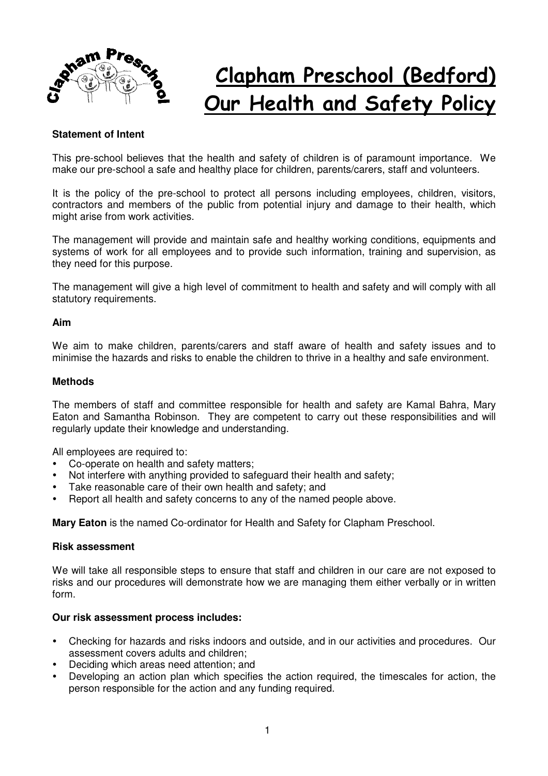

# **Clapham Preschool (Bedford) Our Health and Safety Policy**

## **Statement of Intent**

This pre-school believes that the health and safety of children is of paramount importance. We make our pre-school a safe and healthy place for children, parents/carers, staff and volunteers.

It is the policy of the pre-school to protect all persons including employees, children, visitors, contractors and members of the public from potential injury and damage to their health, which might arise from work activities.

The management will provide and maintain safe and healthy working conditions, equipments and systems of work for all employees and to provide such information, training and supervision, as they need for this purpose.

The management will give a high level of commitment to health and safety and will comply with all statutory requirements.

#### **Aim**

We aim to make children, parents/carers and staff aware of health and safety issues and to minimise the hazards and risks to enable the children to thrive in a healthy and safe environment.

#### **Methods**

The members of staff and committee responsible for health and safety are Kamal Bahra, Mary Eaton and Samantha Robinson. They are competent to carry out these responsibilities and will regularly update their knowledge and understanding.

All employees are required to:

- Co-operate on health and safety matters;
- Not interfere with anything provided to safeguard their health and safety;
- Take reasonable care of their own health and safety; and
- Report all health and safety concerns to any of the named people above.

**Mary Eaton** is the named Co-ordinator for Health and Safety for Clapham Preschool.

#### **Risk assessment**

We will take all responsible steps to ensure that staff and children in our care are not exposed to risks and our procedures will demonstrate how we are managing them either verbally or in written form.

#### **Our risk assessment process includes:**

- Checking for hazards and risks indoors and outside, and in our activities and procedures. Our assessment covers adults and children;
- Deciding which areas need attention; and
- Developing an action plan which specifies the action required, the timescales for action, the person responsible for the action and any funding required.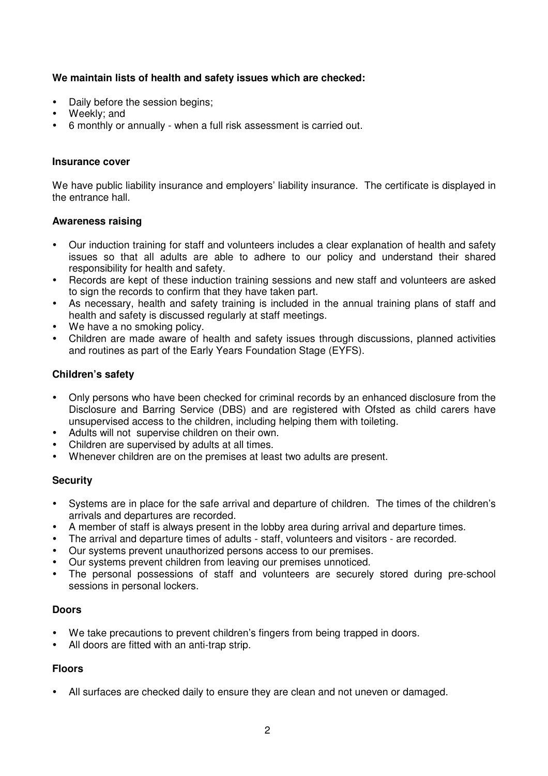# **We maintain lists of health and safety issues which are checked:**

- Daily before the session begins;
- Weekly; and
- 6 monthly or annually when a full risk assessment is carried out.

#### **Insurance cover**

We have public liability insurance and employers' liability insurance. The certificate is displayed in the entrance hall.

### **Awareness raising**

- Our induction training for staff and volunteers includes a clear explanation of health and safety issues so that all adults are able to adhere to our policy and understand their shared responsibility for health and safety.
- Records are kept of these induction training sessions and new staff and volunteers are asked to sign the records to confirm that they have taken part.
- As necessary, health and safety training is included in the annual training plans of staff and health and safety is discussed regularly at staff meetings.
- We have a no smoking policy.
- Children are made aware of health and safety issues through discussions, planned activities and routines as part of the Early Years Foundation Stage (EYFS).

## **Children's safety**

- Only persons who have been checked for criminal records by an enhanced disclosure from the Disclosure and Barring Service (DBS) and are registered with Ofsted as child carers have unsupervised access to the children, including helping them with toileting.
- Adults will not supervise children on their own.
- Children are supervised by adults at all times.
- Whenever children are on the premises at least two adults are present.

### **Security**

- Systems are in place for the safe arrival and departure of children. The times of the children's arrivals and departures are recorded.
- A member of staff is always present in the lobby area during arrival and departure times.
- The arrival and departure times of adults staff, volunteers and visitors are recorded.
- Our systems prevent unauthorized persons access to our premises.
- Our systems prevent children from leaving our premises unnoticed.
- The personal possessions of staff and volunteers are securely stored during pre-school sessions in personal lockers.

### **Doors**

- We take precautions to prevent children's fingers from being trapped in doors.
- All doors are fitted with an anti-trap strip.

# **Floors**

All surfaces are checked daily to ensure they are clean and not uneven or damaged.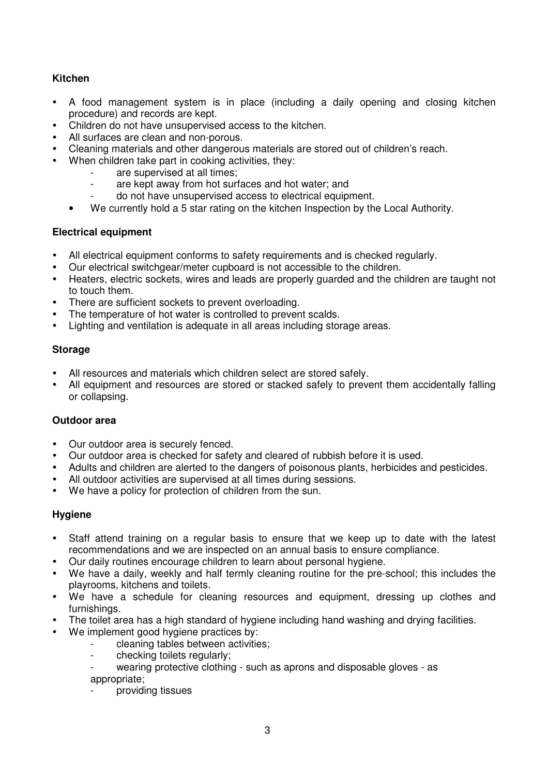# **Kitchen**

- A food management system is in place (including a daily opening and closing kitchen procedure) and records are kept.
- Children do not have unsupervised access to the kitchen.
- All surfaces are clean and non-porous.
- Cleaning materials and other dangerous materials are stored out of children's reach.
- When children take part in cooking activities, they:
	- are supervised at all times;
		- are kept away from hot surfaces and hot water; and
		- do not have unsupervised access to electrical equipment.
	- We currently hold a 5 star rating on the kitchen Inspection by the Local Authority.

## **Electrical equipment**

- All electrical equipment conforms to safety requirements and is checked regularly.
- Our electrical switchgear/meter cupboard is not accessible to the children.
- Heaters, electric sockets, wires and leads are properly guarded and the children are taught not to touch them.
- There are sufficient sockets to prevent overloading.
- The temperature of hot water is controlled to prevent scalds.
- Lighting and ventilation is adequate in all areas including storage areas.

## **Storage**

- All resources and materials which children select are stored safely.
- All equipment and resources are stored or stacked safely to prevent them accidentally falling or collapsing.

### **Outdoor area**

- Our outdoor area is securely fenced.
- Our outdoor area is checked for safety and cleared of rubbish before it is used.
- Adults and children are alerted to the dangers of poisonous plants, herbicides and pesticides.
- All outdoor activities are supervised at all times during sessions.
- We have a policy for protection of children from the sun.

# **Hygiene**

- Staff attend training on a regular basis to ensure that we keep up to date with the latest recommendations and we are inspected on an annual basis to ensure compliance.
- Our daily routines encourage children to learn about personal hygiene.
- We have a daily, weekly and half termly cleaning routine for the pre-school; this includes the playrooms, kitchens and toilets.
- We have a schedule for cleaning resources and equipment, dressing up clothes and furnishings.
- The toilet area has a high standard of hygiene including hand washing and drying facilities.
- We implement good hygiene practices by:
	- cleaning tables between activities;
	- checking toilets regularly;
	- wearing protective clothing such as aprons and disposable gloves as
	- appropriate;
	- providing tissues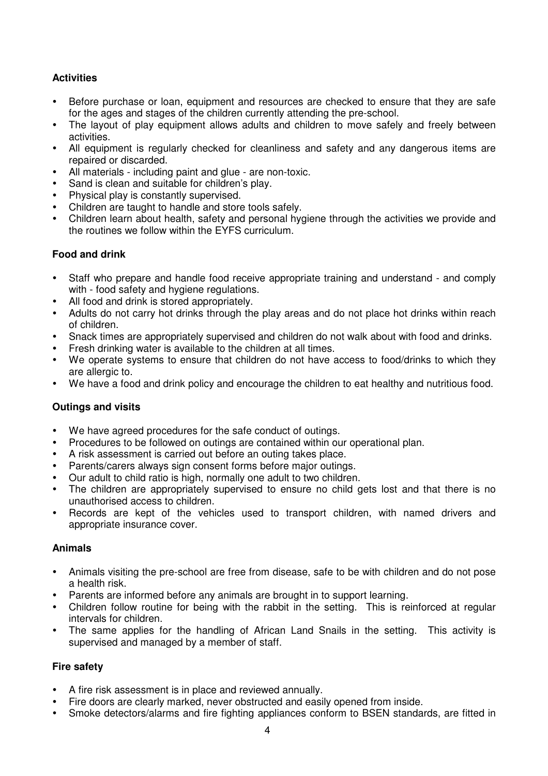# **Activities**

- Before purchase or loan, equipment and resources are checked to ensure that they are safe for the ages and stages of the children currently attending the pre-school.
- The layout of play equipment allows adults and children to move safely and freely between activities.
- All equipment is regularly checked for cleanliness and safety and any dangerous items are repaired or discarded.
- All materials including paint and glue are non-toxic.
- Sand is clean and suitable for children's play.
- Physical play is constantly supervised.
- Children are taught to handle and store tools safely.
- Children learn about health, safety and personal hygiene through the activities we provide and the routines we follow within the EYFS curriculum.

## **Food and drink**

- Staff who prepare and handle food receive appropriate training and understand and comply with - food safety and hygiene regulations.
- All food and drink is stored appropriately.
- Adults do not carry hot drinks through the play areas and do not place hot drinks within reach of children.
- Snack times are appropriately supervised and children do not walk about with food and drinks.
- Fresh drinking water is available to the children at all times.
- We operate systems to ensure that children do not have access to food/drinks to which they are allergic to.
- We have a food and drink policy and encourage the children to eat healthy and nutritious food.

# **Outings and visits**

- We have agreed procedures for the safe conduct of outings.
- Procedures to be followed on outings are contained within our operational plan.
- A risk assessment is carried out before an outing takes place.
- Parents/carers always sign consent forms before major outings.
- Our adult to child ratio is high, normally one adult to two children.
- The children are appropriately supervised to ensure no child gets lost and that there is no unauthorised access to children.
- Records are kept of the vehicles used to transport children, with named drivers and appropriate insurance cover.

### **Animals**

- Animals visiting the pre-school are free from disease, safe to be with children and do not pose a health risk.
- Parents are informed before any animals are brought in to support learning.
- Children follow routine for being with the rabbit in the setting. This is reinforced at regular intervals for children.
- The same applies for the handling of African Land Snails in the setting. This activity is supervised and managed by a member of staff.

### **Fire safety**

- A fire risk assessment is in place and reviewed annually.
- Fire doors are clearly marked, never obstructed and easily opened from inside.
- Smoke detectors/alarms and fire fighting appliances conform to BSEN standards, are fitted in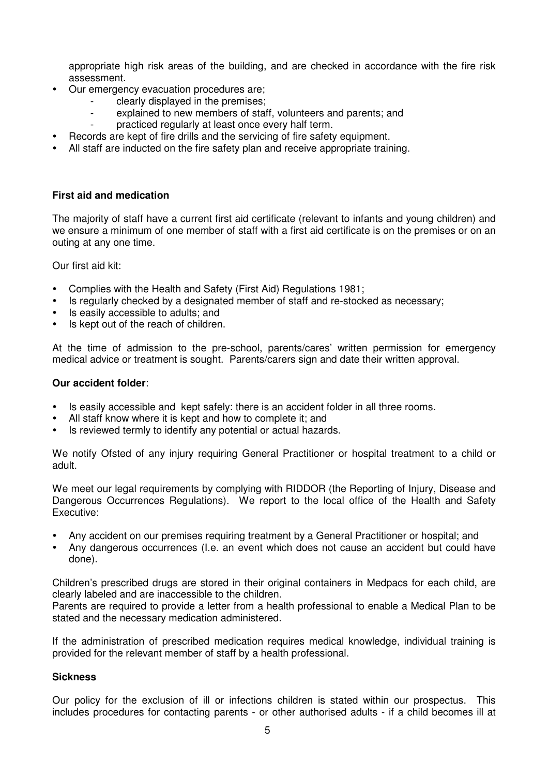appropriate high risk areas of the building, and are checked in accordance with the fire risk assessment.

- Our emergency evacuation procedures are;
	- clearly displayed in the premises;
	- explained to new members of staff, volunteers and parents; and
	- practiced regularly at least once every half term.
	- Records are kept of fire drills and the servicing of fire safety equipment.
- All staff are inducted on the fire safety plan and receive appropriate training.

#### **First aid and medication**

The majority of staff have a current first aid certificate (relevant to infants and young children) and we ensure a minimum of one member of staff with a first aid certificate is on the premises or on an outing at any one time.

Our first aid kit:

- Complies with the Health and Safety (First Aid) Regulations 1981;
- Is regularly checked by a designated member of staff and re-stocked as necessary;
- Is easily accessible to adults; and
- Is kept out of the reach of children.

At the time of admission to the pre-school, parents/cares' written permission for emergency medical advice or treatment is sought. Parents/carers sign and date their written approval.

#### **Our accident folder**:

- Is easily accessible and kept safely: there is an accident folder in all three rooms.
- All staff know where it is kept and how to complete it; and
- Is reviewed termly to identify any potential or actual hazards.

We notify Ofsted of any injury requiring General Practitioner or hospital treatment to a child or adult.

We meet our legal requirements by complying with RIDDOR (the Reporting of Injury, Disease and Dangerous Occurrences Regulations). We report to the local office of the Health and Safety Executive:

- Any accident on our premises requiring treatment by a General Practitioner or hospital; and
- Any dangerous occurrences (I.e. an event which does not cause an accident but could have done).

Children's prescribed drugs are stored in their original containers in Medpacs for each child, are clearly labeled and are inaccessible to the children.

Parents are required to provide a letter from a health professional to enable a Medical Plan to be stated and the necessary medication administered.

If the administration of prescribed medication requires medical knowledge, individual training is provided for the relevant member of staff by a health professional.

#### **Sickness**

Our policy for the exclusion of ill or infections children is stated within our prospectus. This includes procedures for contacting parents - or other authorised adults - if a child becomes ill at